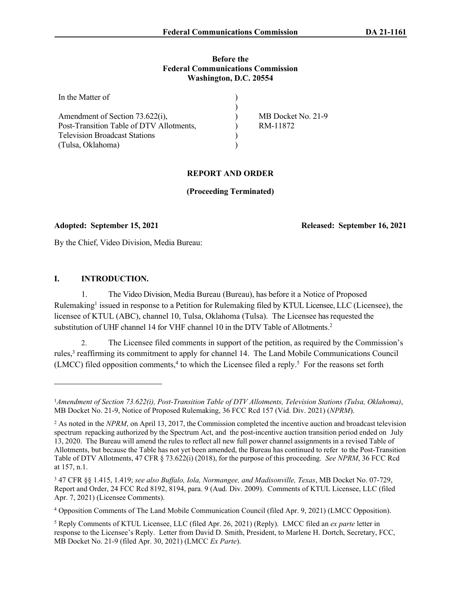#### **Before the Federal Communications Commission Washington, D.C. 20554**

| In the Matter of                         |                    |
|------------------------------------------|--------------------|
|                                          |                    |
| Amendment of Section 73.622(i),          | MB Docket No. 21-9 |
| Post-Transition Table of DTV Allotments, | RM-11872           |
| <b>Television Broadcast Stations</b>     |                    |
| (Tulsa, Oklahoma)                        |                    |

# **REPORT AND ORDER**

#### **(Proceeding Terminated)**

**Adopted: September 15, 2021 Released: September 16, 2021**

By the Chief, Video Division, Media Bureau:

#### **I. INTRODUCTION.**

1. The Video Division, Media Bureau (Bureau), has before it a Notice of Proposed Rulemaking<sup>1</sup> issued in response to a Petition for Rulemaking filed by KTUL Licensee, LLC (Licensee), the licensee of KTUL (ABC), channel 10, Tulsa, Oklahoma (Tulsa). The Licensee has requested the substitution of UHF channel 14 for VHF channel 10 in the DTV Table of Allotments.<sup>2</sup>

2. The Licensee filed comments in support of the petition, as required by the Commission's rules,<sup>3</sup> reaffirming its commitment to apply for channel 14. The Land Mobile Communications Council (LMCC) filed opposition comments,<sup>4</sup> to which the Licensee filed a reply.<sup>5</sup> For the reasons set forth

<sup>1</sup>*Amendment of Section 73.622(i), Post-Transition Table of DTV Allotments, Television Stations (Tulsa, Oklahoma)*, MB Docket No. 21-9, Notice of Proposed Rulemaking, 36 FCC Rcd 157 (Vid. Div. 2021) (*NPRM*).

<sup>&</sup>lt;sup>2</sup> As noted in the *NPRM*, on April 13, 2017, the Commission completed the incentive auction and broadcast television spectrum repacking authorized by the Spectrum Act, and the post-incentive auction transition period ended on July 13, 2020. The Bureau will amend the rules to reflect all new full power channel assignments in a revised Table of Allotments, but because the Table has not yet been amended, the Bureau has continued to refer to the Post-Transition Table of DTV Allotments, 47 CFR § 73.622(i) (2018), for the purpose of this proceeding. *See NPRM*, 36 FCC Rcd at 157, n.1.

<sup>3</sup> 47 CFR §§ 1.415, 1.419; *see also Buffalo, Iola, Normangee, and Madisonville, Texas*, MB Docket No. 07-729, Report and Order, 24 FCC Rcd 8192, 8194, para. 9 (Aud. Div. 2009). Comments of KTUL Licensee, LLC (filed Apr. 7, 2021) (Licensee Comments).

<sup>4</sup> Opposition Comments of The Land Mobile Communication Council (filed Apr. 9, 2021) (LMCC Opposition).

<sup>5</sup> Reply Comments of KTUL Licensee, LLC (filed Apr. 26, 2021) (Reply). LMCC filed an *ex parte* letter in response to the Licensee's Reply. Letter from David D. Smith, President, to Marlene H. Dortch, Secretary, FCC, MB Docket No. 21-9 (filed Apr. 30, 2021) (LMCC *Ex Parte*).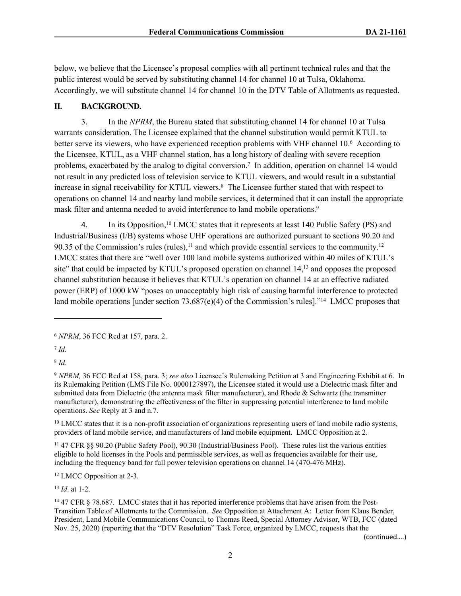below, we believe that the Licensee's proposal complies with all pertinent technical rules and that the public interest would be served by substituting channel 14 for channel 10 at Tulsa, Oklahoma. Accordingly, we will substitute channel 14 for channel 10 in the DTV Table of Allotments as requested.

## **II. BACKGROUND.**

3. In the *NPRM*, the Bureau stated that substituting channel 14 for channel 10 at Tulsa warrants consideration. The Licensee explained that the channel substitution would permit KTUL to better serve its viewers, who have experienced reception problems with VHF channel 10.<sup>6</sup> According to the Licensee, KTUL, as a VHF channel station, has a long history of dealing with severe reception problems, exacerbated by the analog to digital conversion.<sup>7</sup> In addition, operation on channel 14 would not result in any predicted loss of television service to KTUL viewers, and would result in a substantial increase in signal receivability for KTUL viewers.<sup>8</sup> The Licensee further stated that with respect to operations on channel 14 and nearby land mobile services, it determined that it can install the appropriate mask filter and antenna needed to avoid interference to land mobile operations.<sup>9</sup>

4. In its Opposition,<sup>10</sup> LMCC states that it represents at least 140 Public Safety (PS) and Industrial/Business (I/B) systems whose UHF operations are authorized pursuant to sections 90.20 and 90.35 of the Commission's rules (rules),<sup>11</sup> and which provide essential services to the community.<sup>12</sup> LMCC states that there are "well over 100 land mobile systems authorized within 40 miles of KTUL's site" that could be impacted by KTUL's proposed operation on channel 14,<sup>13</sup> and opposes the proposed channel substitution because it believes that KTUL's operation on channel 14 at an effective radiated power (ERP) of 1000 kW "poses an unacceptably high risk of causing harmful interference to protected land mobile operations [under section 73.687(e)(4) of the Commission's rules]."<sup>14</sup> LMCC proposes that

8 *Id*.

<sup>10</sup> LMCC states that it is a non-profit association of organizations representing users of land mobile radio systems, providers of land mobile service, and manufacturers of land mobile equipment. LMCC Opposition at 2.

<sup>11</sup> 47 CFR §§ 90.20 (Public Safety Pool), 90.30 (Industrial/Business Pool). These rules list the various entities eligible to hold licenses in the Pools and permissible services, as well as frequencies available for their use, including the frequency band for full power television operations on channel 14 (470-476 MHz).

<sup>12</sup> LMCC Opposition at 2-3.

<sup>13</sup> *Id*. at 1-2.

(continued….)

<sup>6</sup> *NPRM*, 36 FCC Rcd at 157, para. 2.

<sup>7</sup> *Id.*

<sup>9</sup> *NPRM,* 36 FCC Rcd at 158, para. 3; *see also* Licensee's Rulemaking Petition at 3 and Engineering Exhibit at 6. In its Rulemaking Petition (LMS File No. 0000127897), the Licensee stated it would use a Dielectric mask filter and submitted data from Dielectric (the antenna mask filter manufacturer), and Rhode & Schwartz (the transmitter manufacturer), demonstrating the effectiveness of the filter in suppressing potential interference to land mobile operations. *See* Reply at 3 and n.7.

<sup>14</sup> 47 CFR § 78.687. LMCC states that it has reported interference problems that have arisen from the Post-Transition Table of Allotments to the Commission. *See* Opposition at Attachment A: Letter from Klaus Bender, President, Land Mobile Communications Council, to Thomas Reed, Special Attorney Advisor, WTB, FCC (dated Nov. 25, 2020) (reporting that the "DTV Resolution" Task Force, organized by LMCC, requests that the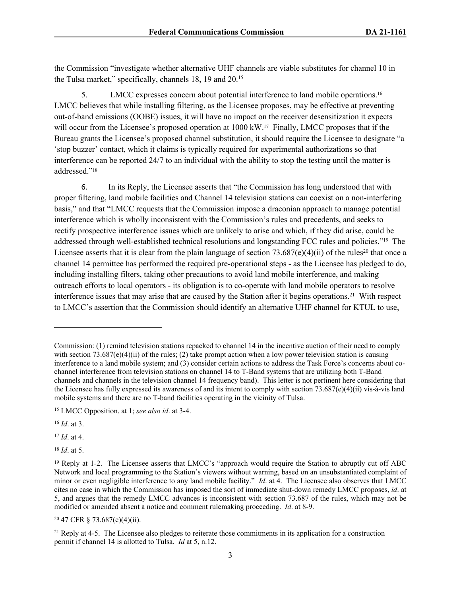the Commission "investigate whether alternative UHF channels are viable substitutes for channel 10 in the Tulsa market," specifically, channels 18, 19 and 20.<sup>15</sup>

5. LMCC expresses concern about potential interference to land mobile operations.<sup>16</sup> LMCC believes that while installing filtering, as the Licensee proposes, may be effective at preventing out-of-band emissions (OOBE) issues, it will have no impact on the receiver desensitization it expects will occur from the Licensee's proposed operation at 1000 kW.<sup>17</sup> Finally, LMCC proposes that if the Bureau grants the Licensee's proposed channel substitution, it should require the Licensee to designate "a 'stop buzzer' contact, which it claims is typically required for experimental authorizations so that interference can be reported 24/7 to an individual with the ability to stop the testing until the matter is addressed<sup>"18</sup>

6. In its Reply, the Licensee asserts that "the Commission has long understood that with proper filtering, land mobile facilities and Channel 14 television stations can coexist on a non-interfering basis," and that "LMCC requests that the Commission impose a draconian approach to manage potential interference which is wholly inconsistent with the Commission's rules and precedents, and seeks to rectify prospective interference issues which are unlikely to arise and which, if they did arise, could be addressed through well-established technical resolutions and longstanding FCC rules and policies."<sup>19</sup> The Licensee asserts that it is clear from the plain language of section  $73.687(e)(4)(ii)$  of the rules<sup>20</sup> that once a channel 14 permittee has performed the required pre-operational steps - as the Licensee has pledged to do, including installing filters, taking other precautions to avoid land mobile interference, and making outreach efforts to local operators - its obligation is to co-operate with land mobile operators to resolve interference issues that may arise that are caused by the Station after it begins operations.<sup>21</sup> With respect to LMCC's assertion that the Commission should identify an alternative UHF channel for KTUL to use,

<sup>16</sup> *Id*. at 3.

<sup>17</sup> *Id*. at 4.

<sup>18</sup> *Id*. at 5.

<sup>20</sup> 47 CFR § 73.687(e)(4)(ii).

Commission: (1) remind television stations repacked to channel 14 in the incentive auction of their need to comply with section 73.687(e)(4)(ii) of the rules; (2) take prompt action when a low power television station is causing interference to a land mobile system; and (3) consider certain actions to address the Task Force's concerns about cochannel interference from television stations on channel 14 to T-Band systems that are utilizing both T-Band channels and channels in the television channel 14 frequency band). This letter is not pertinent here considering that the Licensee has fully expressed its awareness of and its intent to comply with section  $73.687(e)(4)(ii)$  vis-à-vis land mobile systems and there are no T-band facilities operating in the vicinity of Tulsa.

<sup>15</sup> LMCC Opposition. at 1; *see also id*. at 3-4.

<sup>&</sup>lt;sup>19</sup> Reply at 1-2. The Licensee asserts that LMCC's "approach would require the Station to abruptly cut off ABC Network and local programming to the Station's viewers without warning, based on an unsubstantiated complaint of minor or even negligible interference to any land mobile facility." *Id*. at 4. The Licensee also observes that LMCC cites no case in which the Commission has imposed the sort of immediate shut-down remedy LMCC proposes, *id*. at 5, and argues that the remedy LMCC advances is inconsistent with section 73.687 of the rules, which may not be modified or amended absent a notice and comment rulemaking proceeding. *Id*. at 8-9.

<sup>&</sup>lt;sup>21</sup> Reply at 4-5. The Licensee also pledges to reiterate those commitments in its application for a construction permit if channel 14 is allotted to Tulsa. *Id* at 5, n.12.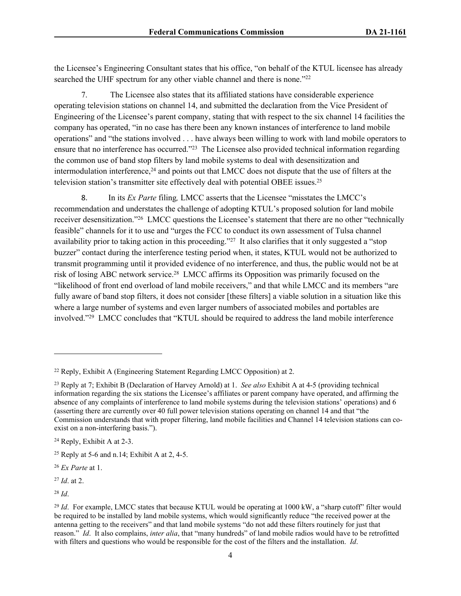the Licensee's Engineering Consultant states that his office, "on behalf of the KTUL licensee has already searched the UHF spectrum for any other viable channel and there is none."<sup>22</sup>

7. The Licensee also states that its affiliated stations have considerable experience operating television stations on channel 14, and submitted the declaration from the Vice President of Engineering of the Licensee's parent company, stating that with respect to the six channel 14 facilities the company has operated, "in no case has there been any known instances of interference to land mobile operations" and "the stations involved . . . have always been willing to work with land mobile operators to ensure that no interference has occurred."<sup>23</sup> The Licensee also provided technical information regarding the common use of band stop filters by land mobile systems to deal with desensitization and intermodulation interference,<sup>24</sup> and points out that LMCC does not dispute that the use of filters at the television station's transmitter site effectively deal with potential OBEE issues.<sup>25</sup>

8. In its *Ex Parte* filing*,* LMCC asserts that the Licensee "misstates the LMCC's recommendation and understates the challenge of adopting KTUL's proposed solution for land mobile receiver desensitization."<sup>26</sup> LMCC questions the Licensee's statement that there are no other "technically feasible" channels for it to use and "urges the FCC to conduct its own assessment of Tulsa channel availability prior to taking action in this proceeding."<sup>27</sup> It also clarifies that it only suggested a "stop buzzer" contact during the interference testing period when, it states, KTUL would not be authorized to transmit programming until it provided evidence of no interference, and thus, the public would not be at risk of losing ABC network service.<sup>28</sup> LMCC affirms its Opposition was primarily focused on the "likelihood of front end overload of land mobile receivers," and that while LMCC and its members "are fully aware of band stop filters, it does not consider [these filters] a viable solution in a situation like this where a large number of systems and even larger numbers of associated mobiles and portables are involved."<sup>29</sup> LMCC concludes that "KTUL should be required to address the land mobile interference

<sup>27</sup> *Id*. at 2.

<sup>28</sup> *Id*.

<sup>22</sup> Reply, Exhibit A (Engineering Statement Regarding LMCC Opposition) at 2.

<sup>23</sup> Reply at 7; Exhibit B (Declaration of Harvey Arnold) at 1. *See also* Exhibit A at 4-5 (providing technical information regarding the six stations the Licensee's affiliates or parent company have operated, and affirming the absence of any complaints of interference to land mobile systems during the television stations' operations) and 6 (asserting there are currently over 40 full power television stations operating on channel 14 and that "the Commission understands that with proper filtering, land mobile facilities and Channel 14 television stations can coexist on a non-interfering basis.").

<sup>24</sup> Reply, Exhibit A at 2-3.

<sup>&</sup>lt;sup>25</sup> Reply at 5-6 and n.14; Exhibit A at 2, 4-5.

<sup>26</sup> *Ex Parte* at 1.

<sup>&</sup>lt;sup>29</sup> *Id.* For example, LMCC states that because KTUL would be operating at 1000 kW, a "sharp cutoff" filter would be required to be installed by land mobile systems, which would significantly reduce "the received power at the antenna getting to the receivers" and that land mobile systems "do not add these filters routinely for just that reason." *Id*. It also complains, *inter alia*, that "many hundreds" of land mobile radios would have to be retrofitted with filters and questions who would be responsible for the cost of the filters and the installation. *Id*.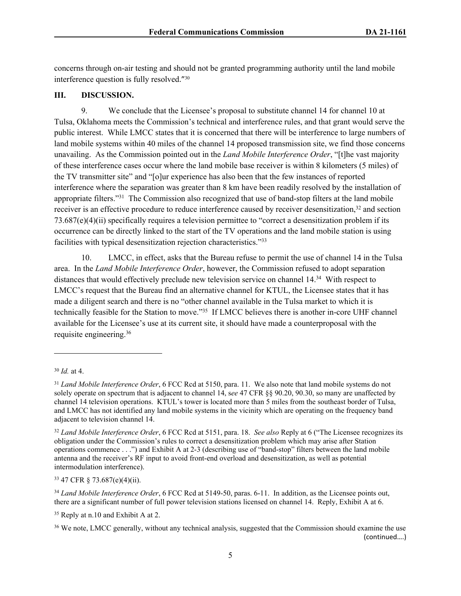concerns through on-air testing and should not be granted programming authority until the land mobile interference question is fully resolved."<sup>30</sup>

### **III. DISCUSSION.**

9. We conclude that the Licensee's proposal to substitute channel 14 for channel 10 at Tulsa, Oklahoma meets the Commission's technical and interference rules, and that grant would serve the public interest. While LMCC states that it is concerned that there will be interference to large numbers of land mobile systems within 40 miles of the channel 14 proposed transmission site, we find those concerns unavailing. As the Commission pointed out in the *Land Mobile Interference Order*, "[t]he vast majority of these interference cases occur where the land mobile base receiver is within 8 kilometers (5 miles) of the TV transmitter site" and "[o]ur experience has also been that the few instances of reported interference where the separation was greater than 8 km have been readily resolved by the installation of appropriate filters."<sup>31</sup> The Commission also recognized that use of band-stop filters at the land mobile receiver is an effective procedure to reduce interference caused by receiver desensitization,<sup>32</sup> and section 73.687(e)(4)(ii) specifically requires a television permittee to "correct a desensitization problem if its occurrence can be directly linked to the start of the TV operations and the land mobile station is using facilities with typical desensitization rejection characteristics."<sup>33</sup>

10. LMCC, in effect, asks that the Bureau refuse to permit the use of channel 14 in the Tulsa area. In the *Land Mobile Interference Order*, however, the Commission refused to adopt separation distances that would effectively preclude new television service on channel 14.<sup>34</sup> With respect to LMCC's request that the Bureau find an alternative channel for KTUL, the Licensee states that it has made a diligent search and there is no "other channel available in the Tulsa market to which it is technically feasible for the Station to move."<sup>35</sup> If LMCC believes there is another in-core UHF channel available for the Licensee's use at its current site, it should have made a counterproposal with the requisite engineering.<sup>36</sup>

<sup>33</sup> 47 CFR § 73.687(e)(4)(ii).

<sup>34</sup> *Land Mobile Interference Order*, 6 FCC Rcd at 5149-50, paras. 6-11. In addition, as the Licensee points out, there are a significant number of full power television stations licensed on channel 14. Reply, Exhibit A at 6.

<sup>35</sup> Reply at n.10 and Exhibit A at 2.

<sup>30</sup> *Id.* at 4.

<sup>31</sup> *Land Mobile Interference Order*, 6 FCC Rcd at 5150, para. 11. We also note that land mobile systems do not solely operate on spectrum that is adjacent to channel 14, s*ee* 47 CFR §§ 90.20, 90.30, so many are unaffected by channel 14 television operations. KTUL's tower is located more than 5 miles from the southeast border of Tulsa, and LMCC has not identified any land mobile systems in the vicinity which are operating on the frequency band adjacent to television channel 14.

<sup>32</sup> *Land Mobile Interference Order*, 6 FCC Rcd at 5151, para. 18. *See also* Reply at 6 ("The Licensee recognizes its obligation under the Commission's rules to correct a desensitization problem which may arise after Station operations commence . . .") and Exhibit A at 2-3 (describing use of "band-stop" filters between the land mobile antenna and the receiver's RF input to avoid front-end overload and desensitization, as well as potential intermodulation interference).

<sup>&</sup>lt;sup>36</sup> We note, LMCC generally, without any technical analysis, suggested that the Commission should examine the use (continued….)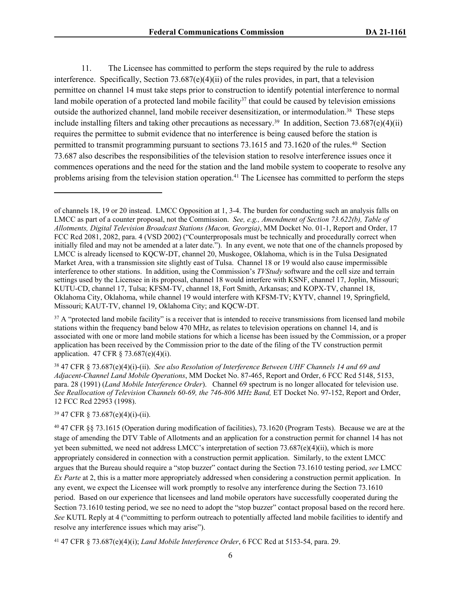11. The Licensee has committed to perform the steps required by the rule to address interference. Specifically, Section 73.687(e)(4)(ii) of the rules provides, in part, that a television permittee on channel 14 must take steps prior to construction to identify potential interference to normal land mobile operation of a protected land mobile facility<sup>37</sup> that could be caused by television emissions outside the authorized channel, land mobile receiver desensitization, or intermodulation.<sup>38</sup> These steps include installing filters and taking other precautions as necessary.<sup>39</sup> In addition, Section 73.687(e)(4)(ii) requires the permittee to submit evidence that no interference is being caused before the station is permitted to transmit programming pursuant to sections 73.1615 and 73.1620 of the rules.<sup>40</sup> Section 73.687 also describes the responsibilities of the television station to resolve interference issues once it commences operations and the need for the station and the land mobile system to cooperate to resolve any problems arising from the television station operation.<sup>41</sup> The Licensee has committed to perform the steps

<sup>39</sup> 47 CFR § 73.687(e)(4)(i)-(ii).

<sup>40</sup> 47 CFR §§ 73.1615 (Operation during modification of facilities), 73.1620 (Program Tests). Because we are at the stage of amending the DTV Table of Allotments and an application for a construction permit for channel 14 has not yet been submitted, we need not address LMCC's interpretation of section 73.687(e)(4)(ii), which is more appropriately considered in connection with a construction permit application. Similarly, to the extent LMCC argues that the Bureau should require a "stop buzzer" contact during the Section 73.1610 testing period, *see* LMCC *Ex Parte* at 2, this is a matter more appropriately addressed when considering a construction permit application. In any event, we expect the Licensee will work promptly to resolve any interference during the Section 73.1610 period. Based on our experience that licensees and land mobile operators have successfully cooperated during the Section 73.1610 testing period, we see no need to adopt the "stop buzzer" contact proposal based on the record here. *See* KUTL Reply at 4 ("committing to perform outreach to potentially affected land mobile facilities to identify and resolve any interference issues which may arise").

41 47 CFR § 73.687(e)(4)(i); *Land Mobile Interference Order*, 6 FCC Rcd at 5153-54, para. 29.

of channels 18, 19 or 20 instead. LMCC Opposition at 1, 3-4. The burden for conducting such an analysis falls on LMCC as part of a counter proposal, not the Commission. *See, e.g., Amendment of Section 73.622(b), Table of Allotments, Digital Television Broadcast Stations (Macon, Georgia)*, MM Docket No. 01-1, Report and Order, 17 FCC Rcd 2081, 2082, para. 4 (VSD 2002) ("Counterproposals must be technically and procedurally correct when initially filed and may not be amended at a later date."). In any event, we note that one of the channels proposed by LMCC is already licensed to KQCW-DT, channel 20, Muskogee, Oklahoma, which is in the Tulsa Designated Market Area, with a transmission site slightly east of Tulsa. Channel 18 or 19 would also cause impermissible interference to other stations. In addition, using the Commission's *TVStudy* software and the cell size and terrain settings used by the Licensee in its proposal, channel 18 would interfere with KSNF, channel 17, Joplin, Missouri; KUTU-CD, channel 17, Tulsa; KFSM-TV, channel 18, Fort Smith, Arkansas; and KOPX-TV, channel 18, Oklahoma City, Oklahoma, while channel 19 would interfere with KFSM-TV; KYTV, channel 19, Springfield, Missouri; KAUT-TV, channel 19, Oklahoma City; and KQCW-DT.

<sup>&</sup>lt;sup>37</sup> A "protected land mobile facility" is a receiver that is intended to receive transmissions from licensed land mobile stations within the frequency band below 470 MHz, as relates to television operations on channel 14, and is associated with one or more land mobile stations for which a license has been issued by the Commission, or a proper application has been received by the Commission prior to the date of the filing of the TV construction permit application. 47 CFR § 73.687(e)(4)(i).

<sup>38</sup> 47 CFR § 73.687(e)(4)(i)-(ii). *See also Resolution of Interference Between UHF Channels 14 and 69 and Adjacent-Channel Land Mobile Operations*, MM Docket No. 87-465, Report and Order, 6 FCC Rcd 5148, 5153, para. 28 (1991) (*Land Mobile Interference Order*). Channel 69 spectrum is no longer allocated for television use. *See Reallocation of Television Channels 60-69, the 746-806 MHz Band,* ET Docket No. 97-152, Report and Order, 12 FCC Rcd 22953 (1998).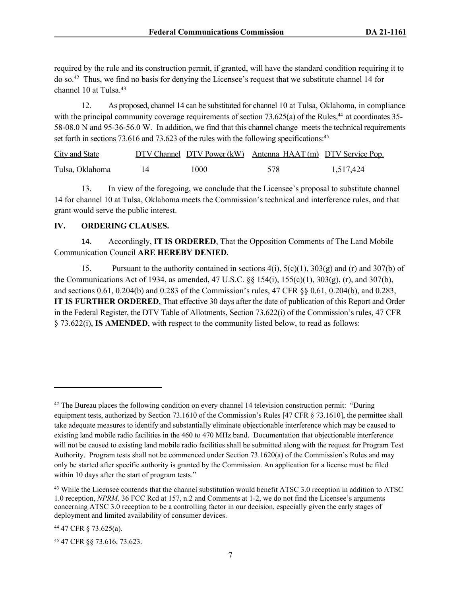required by the rule and its construction permit, if granted, will have the standard condition requiring it to do so.<sup>42</sup> Thus, we find no basis for denying the Licensee's request that we substitute channel 14 for channel 10 at Tulsa.<sup>43</sup>

12. As proposed, channel 14 can be substituted for channel 10 at Tulsa, Oklahoma, in compliance with the principal community coverage requirements of section 73.625(a) of the Rules,<sup>44</sup> at coordinates 35-58-08.0 N and 95-36-56.0 W. In addition, we find that this channel change meets the technical requirements set forth in sections 73.616 and 73.623 of the rules with the following specifications:<sup>45</sup>

| <b>City and State</b> |      | DTV Channel DTV Power (kW) Antenna HAAT (m) DTV Service Pop. |           |
|-----------------------|------|--------------------------------------------------------------|-----------|
| Tulsa, Oklahoma       | 1000 | 578                                                          | 1,517,424 |

13. In view of the foregoing, we conclude that the Licensee's proposal to substitute channel 14 for channel 10 at Tulsa, Oklahoma meets the Commission's technical and interference rules, and that grant would serve the public interest.

#### **IV. ORDERING CLAUSES.**

14. Accordingly, **IT IS ORDERED**, That the Opposition Comments of The Land Mobile Communication Council **ARE HEREBY DENIED**.

15.Pursuant to the authority contained in sections 4(i), 5(c)(1), 303(g) and (r) and 307(b) of the Communications Act of 1934, as amended, 47 U.S.C. §§ 154(i), 155(c)(1), 303(g), (r), and 307(b), and sections 0.61, 0.204(b) and 0.283 of the Commission's rules, 47 CFR §§ 0.61, 0.204(b), and 0.283, **IT IS FURTHER ORDERED**, That effective 30 days after the date of publication of this Report and Order in the Federal Register, the DTV Table of Allotments, Section 73.622(i) of the Commission's rules, 47 CFR § 73.622(i), **IS AMENDED**, with respect to the community listed below, to read as follows:

<sup>44</sup> 47 CFR § 73.625(a).

45 47 CFR §§ 73.616, 73.623.

<sup>42</sup> The Bureau places the following condition on every channel 14 television construction permit: "During equipment tests, authorized by Section 73.1610 of the Commission's Rules [47 CFR § 73.1610], the permittee shall take adequate measures to identify and substantially eliminate objectionable interference which may be caused to existing land mobile radio facilities in the 460 to 470 MHz band. Documentation that objectionable interference will not be caused to existing land mobile radio facilities shall be submitted along with the request for Program Test Authority. Program tests shall not be commenced under Section 73.1620(a) of the Commission's Rules and may only be started after specific authority is granted by the Commission. An application for a license must be filed within 10 days after the start of program tests."

<sup>43</sup> While the Licensee contends that the channel substitution would benefit ATSC 3.0 reception in addition to ATSC 1.0 reception, *NPRM,* 36 FCC Rcd at 157, n.2 and Comments at 1-2, we do not find the Licensee's arguments concerning ATSC 3.0 reception to be a controlling factor in our decision, especially given the early stages of deployment and limited availability of consumer devices.